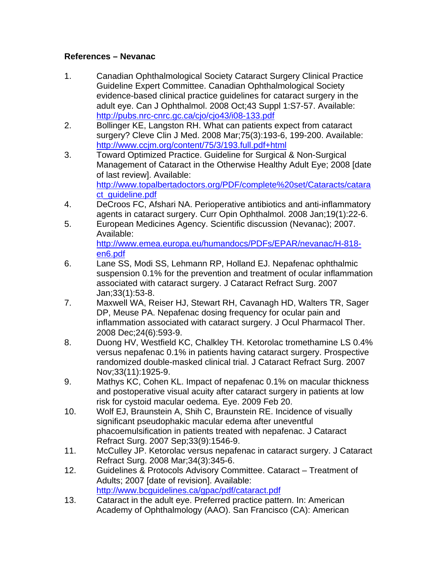## **References – Nevanac**

- 1. Canadian Ophthalmological Society Cataract Surgery Clinical Practice Guideline Expert Committee. Canadian Ophthalmological Society evidence-based clinical practice guidelines for cataract surgery in the adult eye. Can J Ophthalmol. 2008 Oct;43 Suppl 1:S7-57. Available: http://pubs.nrc-cnrc.gc.ca/cjo/cjo43/i08-133.pdf
- 2. Bollinger KE, Langston RH. What can patients expect from cataract surgery? Cleve Clin J Med. 2008 Mar;75(3):193-6, 199-200. Available: http://www.ccjm.org/content/75/3/193.full.pdf+html
- 3. Toward Optimized Practice. Guideline for Surgical & Non-Surgical Management of Cataract in the Otherwise Healthy Adult Eye; 2008 [date of last review]. Available: http://www.topalbertadoctors.org/PDF/complete%20set/Cataracts/catara ct\_quideline.pdf
- 4. DeCroos FC, Afshari NA. Perioperative antibiotics and anti-inflammatory agents in cataract surgery. Curr Opin Ophthalmol. 2008 Jan;19(1):22-6.
- 5. European Medicines Agency. Scientific discussion (Nevanac); 2007. Available: http://www.emea.europa.eu/humandocs/PDFs/EPAR/nevanac/H-818-

en6.pdf

- 6. Lane SS, Modi SS, Lehmann RP, Holland EJ. Nepafenac ophthalmic suspension 0.1% for the prevention and treatment of ocular inflammation associated with cataract surgery. J Cataract Refract Surg. 2007 Jan;33(1):53-8.
- 7. Maxwell WA, Reiser HJ, Stewart RH, Cavanagh HD, Walters TR, Sager DP, Meuse PA. Nepafenac dosing frequency for ocular pain and inflammation associated with cataract surgery. J Ocul Pharmacol Ther. 2008 Dec;24(6):593-9.
- 8. Duong HV, Westfield KC, Chalkley TH. Ketorolac tromethamine LS 0.4% versus nepafenac 0.1% in patients having cataract surgery. Prospective randomized double-masked clinical trial. J Cataract Refract Surg. 2007 Nov;33(11):1925-9.
- 9. Mathys KC, Cohen KL. Impact of nepafenac 0.1% on macular thickness and postoperative visual acuity after cataract surgery in patients at low risk for cystoid macular oedema. Eye. 2009 Feb 20.
- 10. Wolf EJ, Braunstein A, Shih C, Braunstein RE. Incidence of visually significant pseudophakic macular edema after uneventful phacoemulsification in patients treated with nepafenac. J Cataract Refract Surg. 2007 Sep;33(9):1546-9.
- 11. McCulley JP. Ketorolac versus nepafenac in cataract surgery. J Cataract Refract Surg. 2008 Mar;34(3):345-6.
- 12. Guidelines & Protocols Advisory Committee. Cataract Treatment of Adults; 2007 [date of revision]. Available: http://www.bcguidelines.ca/gpac/pdf/cataract.pdf
- 13. Cataract in the adult eye. Preferred practice pattern. In: American Academy of Ophthalmology (AAO). San Francisco (CA): American